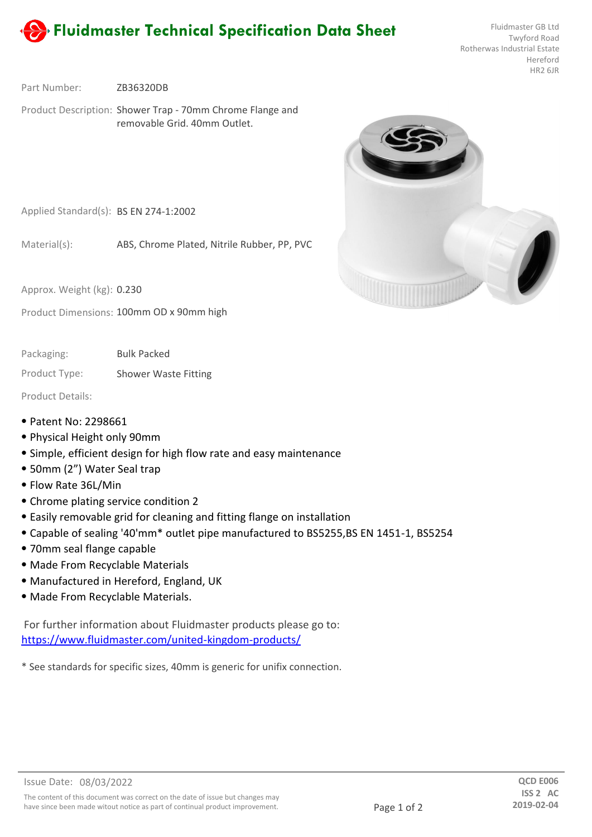

Twyford Road Rotherwas Industrial Estate Hereford HR2 6JR

ZB36320DB Part Number:

Product Description: Shower Trap - 70mm Chrome Flange and removable Grid. 40mm Outlet.



Applied Standard(s): BS EN 274-1:2002

ABS, Chrome Plated, Nitrile Rubber, PP, PVC Material(s):

Approx. Weight (kg): 0.230

Product Dimensions: 100mm OD x 90mm high

Bulk Packed Packaging:

Product Type: Shower Waste Fitting

Product Details:

- ⦁ Patent No: 2298661
- ⦁ Physical Height only 90mm
- ⦁ Simple, efficient design for high flow rate and easy maintenance
- ⦁ 50mm (2") Water Seal trap
- ⦁ Flow Rate 36L/Min
- ⦁ Chrome plating service condition 2
- ⦁ Easily removable grid for cleaning and fitting flange on installation
- ⦁ Capable of sealing '40'mm\* outlet pipe manufactured to BS5255,BS EN 1451-1, BS5254
- ⦁ 70mm seal flange capable
- ⦁ Made From Recyclable Materials
- ⦁ Manufactured in Hereford, England, UK
- ⦁ Made From Recyclable Materials.

For further information about Fluidmaster products please go to: https://www.fluidmaster.com/united-kingdom-products/

\* See standards for specific sizes, 40mm is generic for unifix connection.